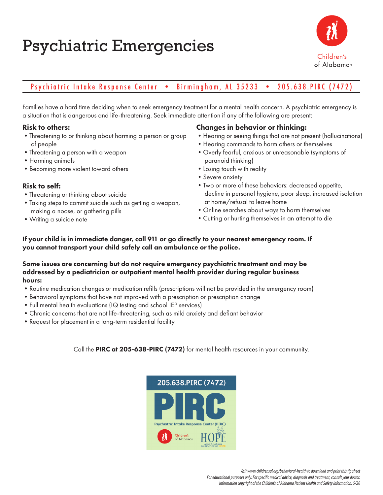# Psychiatric Emergencies



# Psychiatric Intake Response Center • Birmingham, AL 35233 • 205.638.PIRC (7472)

Families have a hard time deciding when to seek emergency treatment for a mental health concern. A psychiatric emergency is a situation that is dangerous and life-threatening. Seek immediate attention if any of the following are present:

### Risk to others:

- •Threatening to or thinking about harming a person or group of people
- •Threatening a person with a weapon
- •Harming animals
- •Becoming more violent toward others

### Risk to self:

- •Threatening or thinking about suicide
- •Taking steps to commit suicide such as getting a weapon, making a noose, or gathering pills
- •Writing a suicide note

## Changes in behavior or thinking:

- •Hearing or seeing things that are not present (hallucinations)
- •Hearing commands to harm others or themselves
- •Overly fearful, anxious or unreasonable (symptoms of paranoid thinking)
- •Losing touch with reality
- •Severe anxiety
- •Two or more of these behaviors: decreased appetite, decline in personal hygiene, poor sleep, increased isolation at home/refusal to leave home
- •Online searches about ways to harm themselves
- •Cutting or hurting themselves in an attempt to die

If your child is in immediate danger, call 911 or go directly to your nearest emergency room. If you cannot transport your child safely call an ambulance or the police.

#### Some issues are concerning but do not require emergency psychiatric treatment and may be addressed by a pediatrician or outpatient mental health provider during regular business hours:

- •Routine medication changes or medication refills (prescriptions will not be provided in the emergency room)
- •Behavioral symptoms that have not improved with a prescription or prescription change
- •Full mental health evaluations (IQ testing and school IEP services)
- •Chronic concerns that are not life-threatening, such as mild anxiety and defiant behavior
- •Request for placement in a long-term residential facility

Call the PIRC at 205-638-PIRC (7472) for mental health resources in your community.